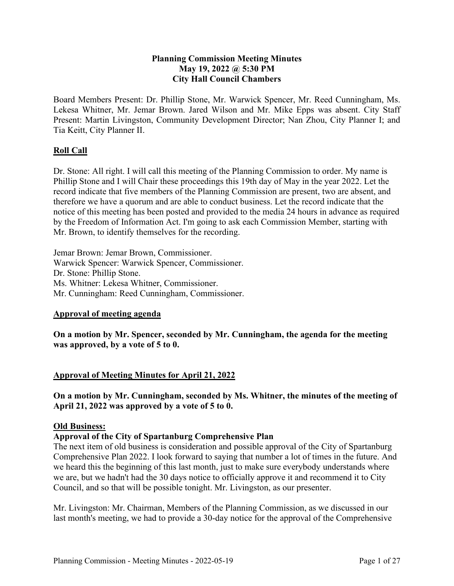### **Planning Commission Meeting Minutes May 19, 2022 @ 5:30 PM City Hall Council Chambers**

Board Members Present: Dr. Phillip Stone, Mr. Warwick Spencer, Mr. Reed Cunningham, Ms. Lekesa Whitner, Mr. Jemar Brown. Jared Wilson and Mr. Mike Epps was absent. City Staff Present: Martin Livingston, Community Development Director; Nan Zhou, City Planner I; and Tia Keitt, City Planner II.

# **Roll Call**

Dr. Stone: All right. I will call this meeting of the Planning Commission to order. My name is Phillip Stone and I will Chair these proceedings this 19th day of May in the year 2022. Let the record indicate that five members of the Planning Commission are present, two are absent, and therefore we have a quorum and are able to conduct business. Let the record indicate that the notice of this meeting has been posted and provided to the media 24 hours in advance as required by the Freedom of Information Act. I'm going to ask each Commission Member, starting with Mr. Brown, to identify themselves for the recording.

Jemar Brown: Jemar Brown, Commissioner. Warwick Spencer: Warwick Spencer, Commissioner. Dr. Stone: Phillip Stone. Ms. Whitner: Lekesa Whitner, Commissioner. Mr. Cunningham: Reed Cunningham, Commissioner.

#### **Approval of meeting agenda**

**On a motion by Mr. Spencer, seconded by Mr. Cunningham, the agenda for the meeting was approved, by a vote of 5 to 0.** 

## **Approval of Meeting Minutes for April 21, 2022**

**On a motion by Mr. Cunningham, seconded by Ms. Whitner, the minutes of the meeting of April 21, 2022 was approved by a vote of 5 to 0.** 

#### **Old Business:**

#### **Approval of the City of Spartanburg Comprehensive Plan**

The next item of old business is consideration and possible approval of the City of Spartanburg Comprehensive Plan 2022. I look forward to saying that number a lot of times in the future. And we heard this the beginning of this last month, just to make sure everybody understands where we are, but we hadn't had the 30 days notice to officially approve it and recommend it to City Council, and so that will be possible tonight. Mr. Livingston, as our presenter.

Mr. Livingston: Mr. Chairman, Members of the Planning Commission, as we discussed in our last month's meeting, we had to provide a 30-day notice for the approval of the Comprehensive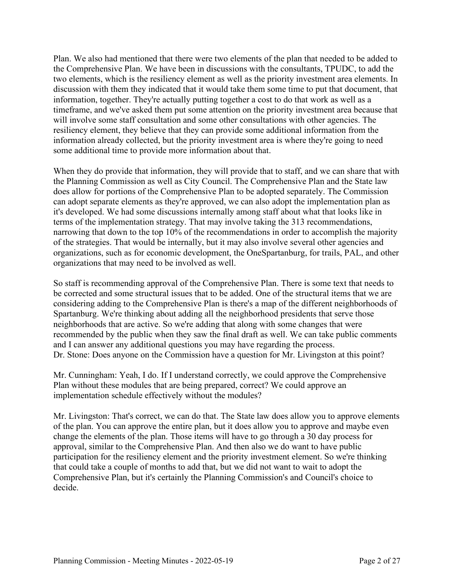Plan. We also had mentioned that there were two elements of the plan that needed to be added to the Comprehensive Plan. We have been in discussions with the consultants, TPUDC, to add the two elements, which is the resiliency element as well as the priority investment area elements. In discussion with them they indicated that it would take them some time to put that document, that information, together. They're actually putting together a cost to do that work as well as a timeframe, and we've asked them put some attention on the priority investment area because that will involve some staff consultation and some other consultations with other agencies. The resiliency element, they believe that they can provide some additional information from the information already collected, but the priority investment area is where they're going to need some additional time to provide more information about that.

When they do provide that information, they will provide that to staff, and we can share that with the Planning Commission as well as City Council. The Comprehensive Plan and the State law does allow for portions of the Comprehensive Plan to be adopted separately. The Commission can adopt separate elements as they're approved, we can also adopt the implementation plan as it's developed. We had some discussions internally among staff about what that looks like in terms of the implementation strategy. That may involve taking the 313 recommendations, narrowing that down to the top 10% of the recommendations in order to accomplish the majority of the strategies. That would be internally, but it may also involve several other agencies and organizations, such as for economic development, the OneSpartanburg, for trails, PAL, and other organizations that may need to be involved as well.

So staff is recommending approval of the Comprehensive Plan. There is some text that needs to be corrected and some structural issues that to be added. One of the structural items that we are considering adding to the Comprehensive Plan is there's a map of the different neighborhoods of Spartanburg. We're thinking about adding all the neighborhood presidents that serve those neighborhoods that are active. So we're adding that along with some changes that were recommended by the public when they saw the final draft as well. We can take public comments and I can answer any additional questions you may have regarding the process. Dr. Stone: Does anyone on the Commission have a question for Mr. Livingston at this point?

Mr. Cunningham: Yeah, I do. If I understand correctly, we could approve the Comprehensive Plan without these modules that are being prepared, correct? We could approve an implementation schedule effectively without the modules?

Mr. Livingston: That's correct, we can do that. The State law does allow you to approve elements of the plan. You can approve the entire plan, but it does allow you to approve and maybe even change the elements of the plan. Those items will have to go through a 30 day process for approval, similar to the Comprehensive Plan. And then also we do want to have public participation for the resiliency element and the priority investment element. So we're thinking that could take a couple of months to add that, but we did not want to wait to adopt the Comprehensive Plan, but it's certainly the Planning Commission's and Council's choice to decide.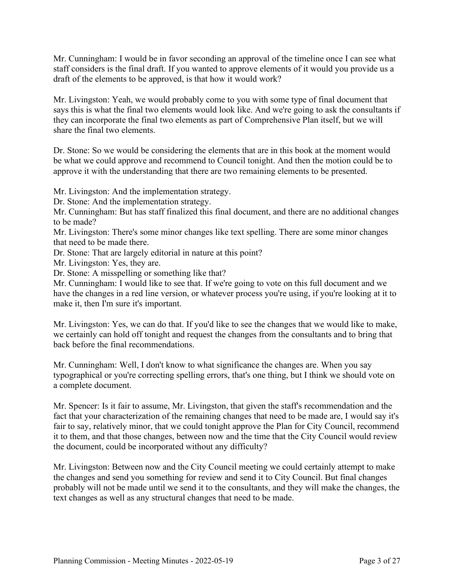Mr. Cunningham: I would be in favor seconding an approval of the timeline once I can see what staff considers is the final draft. If you wanted to approve elements of it would you provide us a draft of the elements to be approved, is that how it would work?

Mr. Livingston: Yeah, we would probably come to you with some type of final document that says this is what the final two elements would look like. And we're going to ask the consultants if they can incorporate the final two elements as part of Comprehensive Plan itself, but we will share the final two elements.

Dr. Stone: So we would be considering the elements that are in this book at the moment would be what we could approve and recommend to Council tonight. And then the motion could be to approve it with the understanding that there are two remaining elements to be presented.

Mr. Livingston: And the implementation strategy.

Dr. Stone: And the implementation strategy.

Mr. Cunningham: But has staff finalized this final document, and there are no additional changes to be made?

Mr. Livingston: There's some minor changes like text spelling. There are some minor changes that need to be made there.

Dr. Stone: That are largely editorial in nature at this point?

Mr. Livingston: Yes, they are.

Dr. Stone: A misspelling or something like that?

Mr. Cunningham: I would like to see that. If we're going to vote on this full document and we have the changes in a red line version, or whatever process you're using, if you're looking at it to make it, then I'm sure it's important.

Mr. Livingston: Yes, we can do that. If you'd like to see the changes that we would like to make, we certainly can hold off tonight and request the changes from the consultants and to bring that back before the final recommendations.

Mr. Cunningham: Well, I don't know to what significance the changes are. When you say typographical or you're correcting spelling errors, that's one thing, but I think we should vote on a complete document.

Mr. Spencer: Is it fair to assume, Mr. Livingston, that given the staff's recommendation and the fact that your characterization of the remaining changes that need to be made are, I would say it's fair to say, relatively minor, that we could tonight approve the Plan for City Council, recommend it to them, and that those changes, between now and the time that the City Council would review the document, could be incorporated without any difficulty?

Mr. Livingston: Between now and the City Council meeting we could certainly attempt to make the changes and send you something for review and send it to City Council. But final changes probably will not be made until we send it to the consultants, and they will make the changes, the text changes as well as any structural changes that need to be made.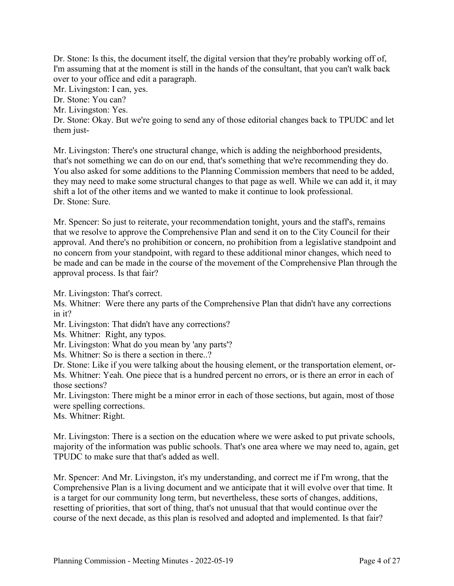Dr. Stone: Is this, the document itself, the digital version that they're probably working off of, I'm assuming that at the moment is still in the hands of the consultant, that you can't walk back over to your office and edit a paragraph.

Mr. Livingston: I can, yes.

Dr. Stone: You can?

Mr. Livingston: Yes.

Dr. Stone: Okay. But we're going to send any of those editorial changes back to TPUDC and let them just-

Mr. Livingston: There's one structural change, which is adding the neighborhood presidents, that's not something we can do on our end, that's something that we're recommending they do. You also asked for some additions to the Planning Commission members that need to be added, they may need to make some structural changes to that page as well. While we can add it, it may shift a lot of the other items and we wanted to make it continue to look professional. Dr. Stone: Sure.

Mr. Spencer: So just to reiterate, your recommendation tonight, yours and the staff's, remains that we resolve to approve the Comprehensive Plan and send it on to the City Council for their approval. And there's no prohibition or concern, no prohibition from a legislative standpoint and no concern from your standpoint, with regard to these additional minor changes, which need to be made and can be made in the course of the movement of the Comprehensive Plan through the approval process. Is that fair?

Mr. Livingston: That's correct.

Ms. Whitner: Were there any parts of the Comprehensive Plan that didn't have any corrections in it?

Mr. Livingston: That didn't have any corrections?

Ms. Whitner: Right, any typos.

Mr. Livingston: What do you mean by 'any parts'?

Ms. Whitner: So is there a section in there..?

Dr. Stone: Like if you were talking about the housing element, or the transportation element, or-Ms. Whitner: Yeah. One piece that is a hundred percent no errors, or is there an error in each of those sections?

Mr. Livingston: There might be a minor error in each of those sections, but again, most of those were spelling corrections.

Ms. Whitner: Right.

Mr. Livingston: There is a section on the education where we were asked to put private schools, majority of the information was public schools. That's one area where we may need to, again, get TPUDC to make sure that that's added as well.

Mr. Spencer: And Mr. Livingston, it's my understanding, and correct me if I'm wrong, that the Comprehensive Plan is a living document and we anticipate that it will evolve over that time. It is a target for our community long term, but nevertheless, these sorts of changes, additions, resetting of priorities, that sort of thing, that's not unusual that that would continue over the course of the next decade, as this plan is resolved and adopted and implemented. Is that fair?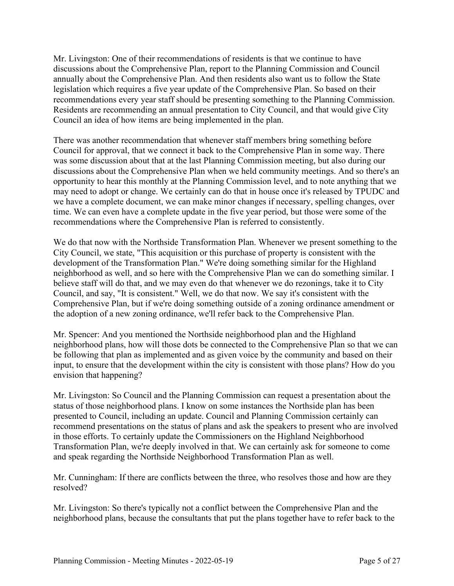Mr. Livingston: One of their recommendations of residents is that we continue to have discussions about the Comprehensive Plan, report to the Planning Commission and Council annually about the Comprehensive Plan. And then residents also want us to follow the State legislation which requires a five year update of the Comprehensive Plan. So based on their recommendations every year staff should be presenting something to the Planning Commission. Residents are recommending an annual presentation to City Council, and that would give City Council an idea of how items are being implemented in the plan.

There was another recommendation that whenever staff members bring something before Council for approval, that we connect it back to the Comprehensive Plan in some way. There was some discussion about that at the last Planning Commission meeting, but also during our discussions about the Comprehensive Plan when we held community meetings. And so there's an opportunity to hear this monthly at the Planning Commission level, and to note anything that we may need to adopt or change. We certainly can do that in house once it's released by TPUDC and we have a complete document, we can make minor changes if necessary, spelling changes, over time. We can even have a complete update in the five year period, but those were some of the recommendations where the Comprehensive Plan is referred to consistently.

We do that now with the Northside Transformation Plan. Whenever we present something to the City Council, we state, "This acquisition or this purchase of property is consistent with the development of the Transformation Plan." We're doing something similar for the Highland neighborhood as well, and so here with the Comprehensive Plan we can do something similar. I believe staff will do that, and we may even do that whenever we do rezonings, take it to City Council, and say, "It is consistent." Well, we do that now. We say it's consistent with the Comprehensive Plan, but if we're doing something outside of a zoning ordinance amendment or the adoption of a new zoning ordinance, we'll refer back to the Comprehensive Plan.

Mr. Spencer: And you mentioned the Northside neighborhood plan and the Highland neighborhood plans, how will those dots be connected to the Comprehensive Plan so that we can be following that plan as implemented and as given voice by the community and based on their input, to ensure that the development within the city is consistent with those plans? How do you envision that happening?

Mr. Livingston: So Council and the Planning Commission can request a presentation about the status of those neighborhood plans. I know on some instances the Northside plan has been presented to Council, including an update. Council and Planning Commission certainly can recommend presentations on the status of plans and ask the speakers to present who are involved in those efforts. To certainly update the Commissioners on the Highland Neighborhood Transformation Plan, we're deeply involved in that. We can certainly ask for someone to come and speak regarding the Northside Neighborhood Transformation Plan as well.

Mr. Cunningham: If there are conflicts between the three, who resolves those and how are they resolved?

Mr. Livingston: So there's typically not a conflict between the Comprehensive Plan and the neighborhood plans, because the consultants that put the plans together have to refer back to the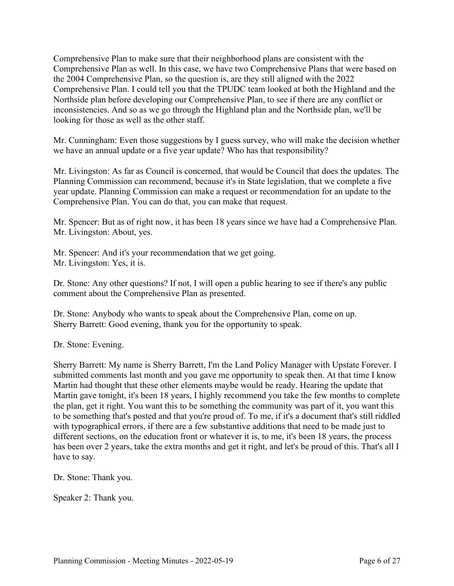Comprehensive Plan to make sure that their neighborhood plans are consistent with the Comprehensive Plan as well. In this case, we have two Comprehensive Plans that were based on the 2004 Comprehensive Plan, so the question is, are they still aligned with the 2022 Comprehensive Plan. I could tell you that the TPUDC team looked at both the Highland and the Northside plan before developing our Comprehensive Plan, to see if there are any conflict or inconsistencies. And so as we go through the Highland plan and the Northside plan, we'll be looking for those as well as the other staff.

Mr. Cunningham: Even those suggestions by I guess survey, who will make the decision whether we have an annual update or a five year update? Who has that responsibility?

Mr. Livingston: As far as Council is concerned, that would be Council that does the updates. The Planning Commission can recommend, because it's in State legislation, that we complete a five year update. Planning Commission can make a request or recommendation for an update to the Comprehensive Plan. You can do that, you can make that request.

Mr. Spencer: But as of right now, it has been 18 years since we have had a Comprehensive Plan. Mr. Livingston: About, yes.

Mr. Spencer: And it's your recommendation that we get going. Mr. Livingston: Yes, it is.

Dr. Stone: Any other questions? If not, I will open a public hearing to see if there's any public comment about the Comprehensive Plan as presented.

Dr. Stone: Anybody who wants to speak about the Comprehensive Plan, come on up. Sherry Barrett: Good evening, thank you for the opportunity to speak.

Dr. Stone: Evening.

Sherry Barrett: My name is Sherry Barrett, I'm the Land Policy Manager with Upstate Forever. I submitted comments last month and you gave me opportunity to speak then. At that time I know Martin had thought that these other elements maybe would be ready. Hearing the update that Martin gave tonight, it's been 18 years, I highly recommend you take the few months to complete the plan, get it right. You want this to be something the community was part of it, you want this to be something that's posted and that you're proud of. To me, if it's a document that's still riddled with typographical errors, if there are a few substantive additions that need to be made just to different sections, on the education front or whatever it is, to me, it's been 18 years, the process has been over 2 years, take the extra months and get it right, and let's be proud of this. That's all I have to say.

Dr. Stone: Thank you.

Speaker 2: Thank you.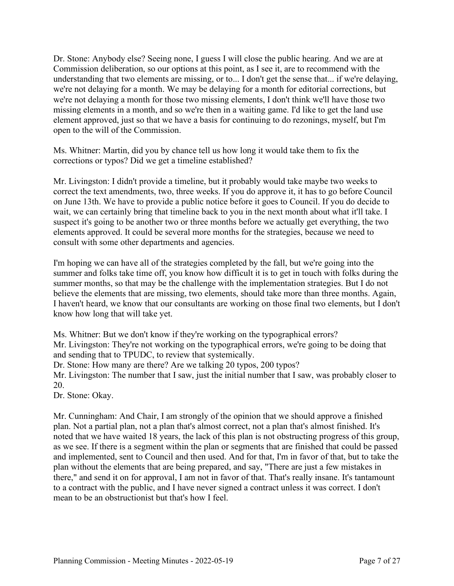Dr. Stone: Anybody else? Seeing none, I guess I will close the public hearing. And we are at Commission deliberation, so our options at this point, as I see it, are to recommend with the understanding that two elements are missing, or to... I don't get the sense that... if we're delaying, we're not delaying for a month. We may be delaying for a month for editorial corrections, but we're not delaying a month for those two missing elements, I don't think we'll have those two missing elements in a month, and so we're then in a waiting game. I'd like to get the land use element approved, just so that we have a basis for continuing to do rezonings, myself, but I'm open to the will of the Commission.

Ms. Whitner: Martin, did you by chance tell us how long it would take them to fix the corrections or typos? Did we get a timeline established?

Mr. Livingston: I didn't provide a timeline, but it probably would take maybe two weeks to correct the text amendments, two, three weeks. If you do approve it, it has to go before Council on June 13th. We have to provide a public notice before it goes to Council. If you do decide to wait, we can certainly bring that timeline back to you in the next month about what it'll take. I suspect it's going to be another two or three months before we actually get everything, the two elements approved. It could be several more months for the strategies, because we need to consult with some other departments and agencies.

I'm hoping we can have all of the strategies completed by the fall, but we're going into the summer and folks take time off, you know how difficult it is to get in touch with folks during the summer months, so that may be the challenge with the implementation strategies. But I do not believe the elements that are missing, two elements, should take more than three months. Again, I haven't heard, we know that our consultants are working on those final two elements, but I don't know how long that will take yet.

Ms. Whitner: But we don't know if they're working on the typographical errors? Mr. Livingston: They're not working on the typographical errors, we're going to be doing that and sending that to TPUDC, to review that systemically.

Dr. Stone: How many are there? Are we talking 20 typos, 200 typos?

Mr. Livingston: The number that I saw, just the initial number that I saw, was probably closer to 20.

Dr. Stone: Okay.

Mr. Cunningham: And Chair, I am strongly of the opinion that we should approve a finished plan. Not a partial plan, not a plan that's almost correct, not a plan that's almost finished. It's noted that we have waited 18 years, the lack of this plan is not obstructing progress of this group, as we see. If there is a segment within the plan or segments that are finished that could be passed and implemented, sent to Council and then used. And for that, I'm in favor of that, but to take the plan without the elements that are being prepared, and say, "There are just a few mistakes in there," and send it on for approval, I am not in favor of that. That's really insane. It's tantamount to a contract with the public, and I have never signed a contract unless it was correct. I don't mean to be an obstructionist but that's how I feel.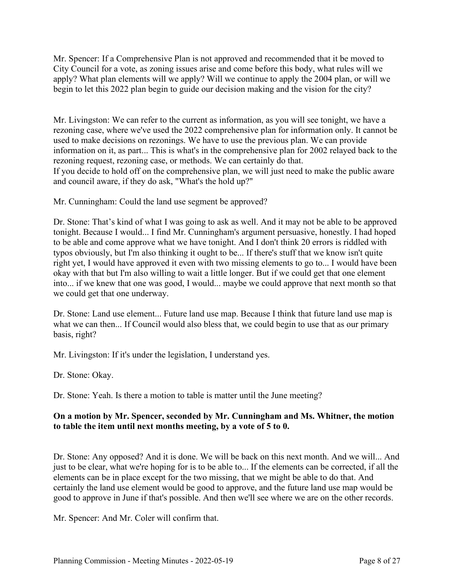Mr. Spencer: If a Comprehensive Plan is not approved and recommended that it be moved to City Council for a vote, as zoning issues arise and come before this body, what rules will we apply? What plan elements will we apply? Will we continue to apply the 2004 plan, or will we begin to let this 2022 plan begin to guide our decision making and the vision for the city?

Mr. Livingston: We can refer to the current as information, as you will see tonight, we have a rezoning case, where we've used the 2022 comprehensive plan for information only. It cannot be used to make decisions on rezonings. We have to use the previous plan. We can provide information on it, as part... This is what's in the comprehensive plan for 2002 relayed back to the rezoning request, rezoning case, or methods. We can certainly do that. If you decide to hold off on the comprehensive plan, we will just need to make the public aware and council aware, if they do ask, "What's the hold up?"

Mr. Cunningham: Could the land use segment be approved?

Dr. Stone: That's kind of what I was going to ask as well. And it may not be able to be approved tonight. Because I would... I find Mr. Cunningham's argument persuasive, honestly. I had hoped to be able and come approve what we have tonight. And I don't think 20 errors is riddled with typos obviously, but I'm also thinking it ought to be... If there's stuff that we know isn't quite right yet, I would have approved it even with two missing elements to go to... I would have been okay with that but I'm also willing to wait a little longer. But if we could get that one element into... if we knew that one was good, I would... maybe we could approve that next month so that we could get that one underway.

Dr. Stone: Land use element... Future land use map. Because I think that future land use map is what we can then... If Council would also bless that, we could begin to use that as our primary basis, right?

Mr. Livingston: If it's under the legislation, I understand yes.

Dr. Stone: Okay.

Dr. Stone: Yeah. Is there a motion to table is matter until the June meeting?

### **On a motion by Mr. Spencer, seconded by Mr. Cunningham and Ms. Whitner, the motion to table the item until next months meeting, by a vote of 5 to 0.**

Dr. Stone: Any opposed? And it is done. We will be back on this next month. And we will... And just to be clear, what we're hoping for is to be able to... If the elements can be corrected, if all the elements can be in place except for the two missing, that we might be able to do that. And certainly the land use element would be good to approve, and the future land use map would be good to approve in June if that's possible. And then we'll see where we are on the other records.

Mr. Spencer: And Mr. Coler will confirm that.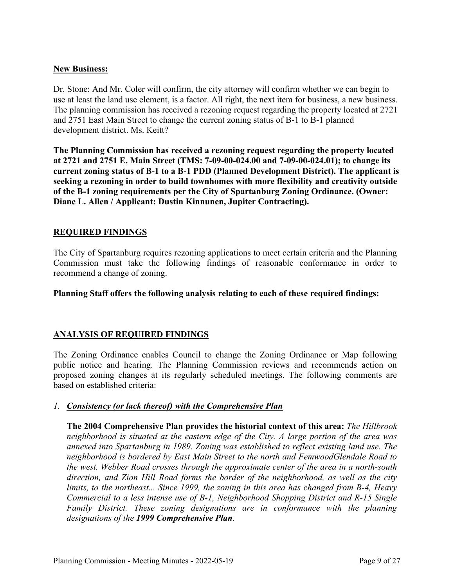### **New Business:**

Dr. Stone: And Mr. Coler will confirm, the city attorney will confirm whether we can begin to use at least the land use element, is a factor. All right, the next item for business, a new business. The planning commission has received a rezoning request regarding the property located at 2721 and 2751 East Main Street to change the current zoning status of B-1 to B-1 planned development district. Ms. Keitt?

**The Planning Commission has received a rezoning request regarding the property located at 2721 and 2751 E. Main Street (TMS: 7-09-00-024.00 and 7-09-00-024.01); to change its current zoning status of B-1 to a B-1 PDD (Planned Development District). The applicant is seeking a rezoning in order to build townhomes with more flexibility and creativity outside of the B-1 zoning requirements per the City of Spartanburg Zoning Ordinance. (Owner: Diane L. Allen / Applicant: Dustin Kinnunen, Jupiter Contracting).** 

### **REQUIRED FINDINGS**

The City of Spartanburg requires rezoning applications to meet certain criteria and the Planning Commission must take the following findings of reasonable conformance in order to recommend a change of zoning.

**Planning Staff offers the following analysis relating to each of these required findings:**

## **ANALYSIS OF REQUIRED FINDINGS**

The Zoning Ordinance enables Council to change the Zoning Ordinance or Map following public notice and hearing. The Planning Commission reviews and recommends action on proposed zoning changes at its regularly scheduled meetings. The following comments are based on established criteria:

## *1. Consistency (or lack thereof) with the Comprehensive Plan*

**The 2004 Comprehensive Plan provides the historial context of this area:** *The Hillbrook neighborhood is situated at the eastern edge of the City. A large portion of the area was annexed into Spartanburg in 1989. Zoning was established to reflect existing land use. The neighborhood is bordered by East Main Street to the north and FemwoodGlendale Road to the west. Webber Road crosses through the approximate center of the area in a north-south direction, and Zion Hill Road forms the border of the neighborhood, as well as the city limits, to the northeast... Since 1999, the zoning in this area has changed from B-4, Heavy Commercial to a less intense use of B-1, Neighborhood Shopping District and R-15 Single Family District. These zoning designations are in conformance with the planning designations of the 1999 Comprehensive Plan.*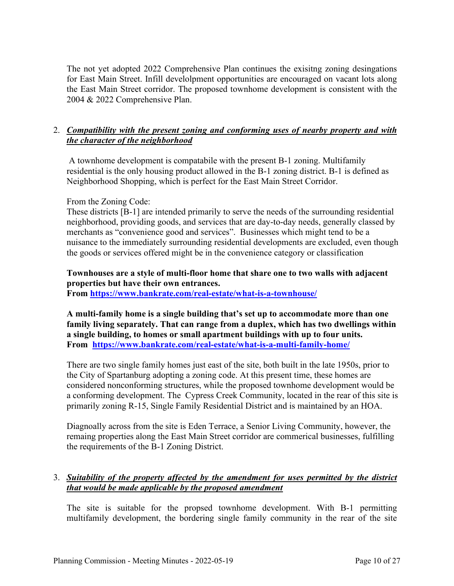The not yet adopted 2022 Comprehensive Plan continues the exisitng zoning desingations for East Main Street. Infill develolpment opportunities are encouraged on vacant lots along the East Main Street corridor. The proposed townhome development is consistent with the 2004 & 2022 Comprehensive Plan.

# 2. *Compatibility with the present zoning and conforming uses of nearby property and with the character of the neighborhood*

 A townhome development is compatabile with the present B-1 zoning. Multifamily residential is the only housing product allowed in the B-1 zoning district. B-1 is defined as Neighborhood Shopping, which is perfect for the East Main Street Corridor.

### From the Zoning Code:

These districts [B-1] are intended primarily to serve the needs of the surrounding residential neighborhood, providing goods, and services that are day-to-day needs, generally classed by merchants as "convenience good and services". Businesses which might tend to be a nuisance to the immediately surrounding residential developments are excluded, even though the goods or services offered might be in the convenience category or classification

# **Townhouses are a style of multi-floor home that share one to two walls with adjacent properties but have their own entrances.**

**From<https://www.bankrate.com/real-estate/what-is-a-townhouse/>**

**A multi-family home is a single building that's set up to accommodate more than one family living separately. That can range from a duplex, which has two dwellings within a single building, to homes or small apartment buildings with up to four units. From <https://www.bankrate.com/real-estate/what-is-a-multi-family-home/>**

There are two single family homes just east of the site, both built in the late 1950s, prior to the City of Spartanburg adopting a zoning code. At this present time, these homes are considered nonconforming structures, while the proposed townhome development would be a conforming development. The Cypress Creek Community, located in the rear of this site is primarily zoning R-15, Single Family Residential District and is maintained by an HOA.

Diagnoally across from the site is Eden Terrace, a Senior Living Community, however, the remaing properties along the East Main Street corridor are commerical businesses, fulfilling the requirements of the B-1 Zoning District.

## 3. *Suitability of the property affected by the amendment for uses permitted by the district that would be made applicable by the proposed amendment*

The site is suitable for the propsed townhome development. With B-1 permitting multifamily development, the bordering single family community in the rear of the site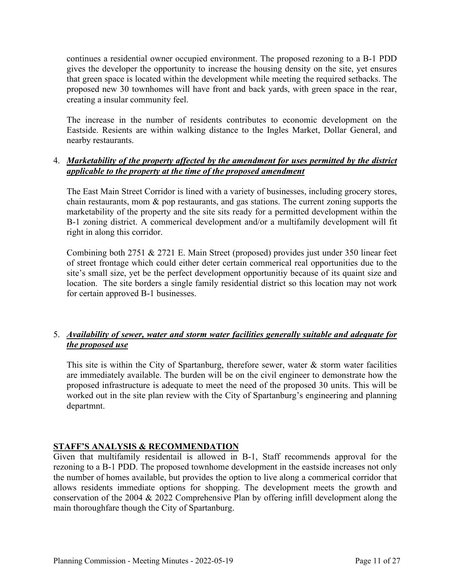continues a residential owner occupied environment. The proposed rezoning to a B-1 PDD gives the developer the opportunity to increase the housing density on the site, yet ensures that green space is located within the development while meeting the required setbacks. The proposed new 30 townhomes will have front and back yards, with green space in the rear, creating a insular community feel.

The increase in the number of residents contributes to economic development on the Eastside. Resients are within walking distance to the Ingles Market, Dollar General, and nearby restaurants.

### 4. *Marketability of the property affected by the amendment for uses permitted by the district applicable to the property at the time of the proposed amendment*

The East Main Street Corridor is lined with a variety of businesses, including grocery stores, chain restaurants, mom & pop restaurants, and gas stations. The current zoning supports the marketability of the property and the site sits ready for a permitted development within the B-1 zoning district. A commerical development and/or a multifamily development will fit right in along this corridor.

Combining both 2751 & 2721 E. Main Street (proposed) provides just under 350 linear feet of street frontage which could either deter certain commerical real opportunities due to the site's small size, yet be the perfect development opportunitiy because of its quaint size and location. The site borders a single family residential district so this location may not work for certain approved B-1 businesses.

# 5. *Availability of sewer, water and storm water facilities generally suitable and adequate for the proposed use*

This site is within the City of Spartanburg, therefore sewer, water  $\&$  storm water facilities are immediately available. The burden will be on the civil engineer to demonstrate how the proposed infrastructure is adequate to meet the need of the proposed 30 units. This will be worked out in the site plan review with the City of Spartanburg's engineering and planning departmnt.

## **STAFF'S ANALYSIS & RECOMMENDATION**

Given that multifamily residentail is allowed in B-1, Staff recommends approval for the rezoning to a B-1 PDD. The proposed townhome development in the eastside increases not only the number of homes available, but provides the option to live along a commerical corridor that allows residents immediate options for shopping. The development meets the growth and conservation of the 2004 & 2022 Comprehensive Plan by offering infill development along the main thoroughfare though the City of Spartanburg.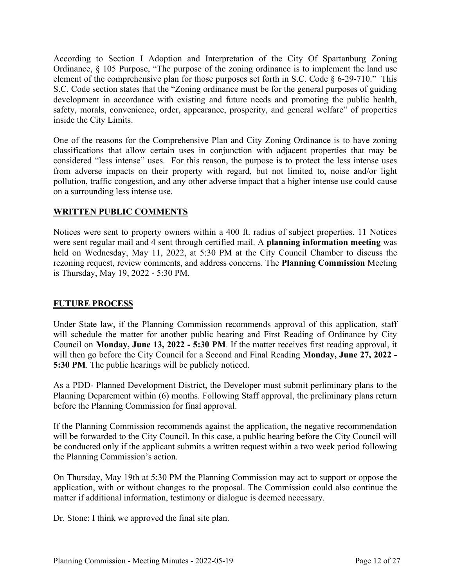According to Section I Adoption and Interpretation of the City Of Spartanburg Zoning Ordinance, § 105 Purpose, "The purpose of the zoning ordinance is to implement the land use element of the comprehensive plan for those purposes set forth in S.C. Code § 6-29-710." This S.C. Code section states that the "Zoning ordinance must be for the general purposes of guiding development in accordance with existing and future needs and promoting the public health, safety, morals, convenience, order, appearance, prosperity, and general welfare" of properties inside the City Limits.

One of the reasons for the Comprehensive Plan and City Zoning Ordinance is to have zoning classifications that allow certain uses in conjunction with adjacent properties that may be considered "less intense" uses. For this reason, the purpose is to protect the less intense uses from adverse impacts on their property with regard, but not limited to, noise and/or light pollution, traffic congestion, and any other adverse impact that a higher intense use could cause on a surrounding less intense use.

#### **WRITTEN PUBLIC COMMENTS**

Notices were sent to property owners within a 400 ft. radius of subject properties. 11 Notices were sent regular mail and 4 sent through certified mail. A **planning information meeting** was held on Wednesday, May 11, 2022, at 5:30 PM at the City Council Chamber to discuss the rezoning request, review comments, and address concerns. The **Planning Commission** Meeting is Thursday, May 19, 2022 - 5:30 PM.

#### **FUTURE PROCESS**

Under State law, if the Planning Commission recommends approval of this application, staff will schedule the matter for another public hearing and First Reading of Ordinance by City Council on **Monday, June 13, 2022 - 5:30 PM**. If the matter receives first reading approval, it will then go before the City Council for a Second and Final Reading **Monday, June 27, 2022 - 5:30 PM**. The public hearings will be publicly noticed.

As a PDD- Planned Development District, the Developer must submit perliminary plans to the Planning Deparement within (6) months. Following Staff approval, the preliminary plans return before the Planning Commission for final approval.

If the Planning Commission recommends against the application, the negative recommendation will be forwarded to the City Council. In this case, a public hearing before the City Council will be conducted only if the applicant submits a written request within a two week period following the Planning Commission's action.

On Thursday, May 19th at 5:30 PM the Planning Commission may act to support or oppose the application, with or without changes to the proposal. The Commission could also continue the matter if additional information, testimony or dialogue is deemed necessary.

Dr. Stone: I think we approved the final site plan.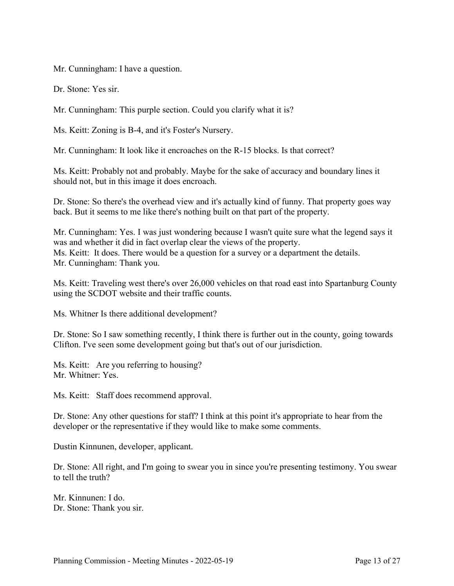Mr. Cunningham: I have a question.

Dr. Stone: Yes sir.

Mr. Cunningham: This purple section. Could you clarify what it is?

Ms. Keitt: Zoning is B-4, and it's Foster's Nursery.

Mr. Cunningham: It look like it encroaches on the R-15 blocks. Is that correct?

Ms. Keitt: Probably not and probably. Maybe for the sake of accuracy and boundary lines it should not, but in this image it does encroach.

Dr. Stone: So there's the overhead view and it's actually kind of funny. That property goes way back. But it seems to me like there's nothing built on that part of the property.

Mr. Cunningham: Yes. I was just wondering because I wasn't quite sure what the legend says it was and whether it did in fact overlap clear the views of the property. Ms. Keitt: It does. There would be a question for a survey or a department the details. Mr. Cunningham: Thank you.

Ms. Keitt: Traveling west there's over 26,000 vehicles on that road east into Spartanburg County using the SCDOT website and their traffic counts.

Ms. Whitner Is there additional development?

Dr. Stone: So I saw something recently, I think there is further out in the county, going towards Clifton. I've seen some development going but that's out of our jurisdiction.

Ms. Keitt: Are you referring to housing? Mr. Whitner: Yes.

Ms. Keitt: Staff does recommend approval.

Dr. Stone: Any other questions for staff? I think at this point it's appropriate to hear from the developer or the representative if they would like to make some comments.

Dustin Kinnunen, developer, applicant.

Dr. Stone: All right, and I'm going to swear you in since you're presenting testimony. You swear to tell the truth?

Mr. Kinnunen: I do. Dr. Stone: Thank you sir.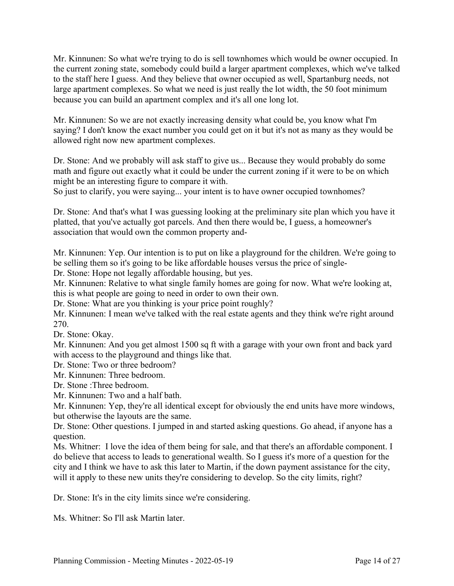Mr. Kinnunen: So what we're trying to do is sell townhomes which would be owner occupied. In the current zoning state, somebody could build a larger apartment complexes, which we've talked to the staff here I guess. And they believe that owner occupied as well, Spartanburg needs, not large apartment complexes. So what we need is just really the lot width, the 50 foot minimum because you can build an apartment complex and it's all one long lot.

Mr. Kinnunen: So we are not exactly increasing density what could be, you know what I'm saying? I don't know the exact number you could get on it but it's not as many as they would be allowed right now new apartment complexes.

Dr. Stone: And we probably will ask staff to give us... Because they would probably do some math and figure out exactly what it could be under the current zoning if it were to be on which might be an interesting figure to compare it with.

So just to clarify, you were saying... your intent is to have owner occupied townhomes?

Dr. Stone: And that's what I was guessing looking at the preliminary site plan which you have it platted, that you've actually got parcels. And then there would be, I guess, a homeowner's association that would own the common property and-

Mr. Kinnunen: Yep. Our intention is to put on like a playground for the children. We're going to be selling them so it's going to be like affordable houses versus the price of single-

Dr. Stone: Hope not legally affordable housing, but yes.

Mr. Kinnunen: Relative to what single family homes are going for now. What we're looking at, this is what people are going to need in order to own their own.

Dr. Stone: What are you thinking is your price point roughly?

Mr. Kinnunen: I mean we've talked with the real estate agents and they think we're right around 270.

Dr. Stone: Okay.

Mr. Kinnunen: And you get almost 1500 sq ft with a garage with your own front and back yard with access to the playground and things like that.

Dr. Stone: Two or three bedroom?

Mr. Kinnunen: Three bedroom.

Dr. Stone :Three bedroom.

Mr. Kinnunen: Two and a half bath.

Mr. Kinnunen: Yep, they're all identical except for obviously the end units have more windows, but otherwise the layouts are the same.

Dr. Stone: Other questions. I jumped in and started asking questions. Go ahead, if anyone has a question.

Ms. Whitner: I love the idea of them being for sale, and that there's an affordable component. I do believe that access to leads to generational wealth. So I guess it's more of a question for the city and I think we have to ask this later to Martin, if the down payment assistance for the city, will it apply to these new units they're considering to develop. So the city limits, right?

Dr. Stone: It's in the city limits since we're considering.

Ms. Whitner: So I'll ask Martin later.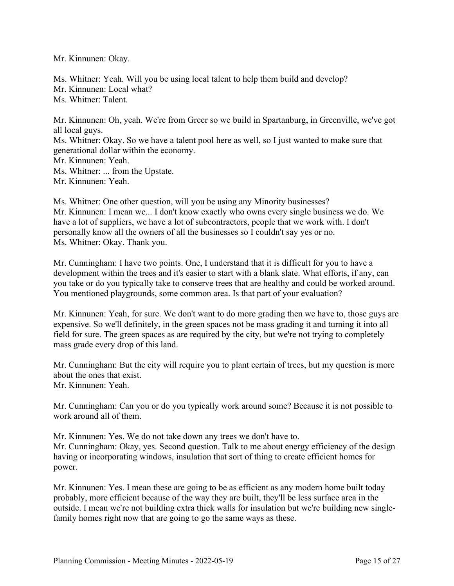Mr. Kinnunen: Okay.

Ms. Whitner: Yeah. Will you be using local talent to help them build and develop? Mr. Kinnunen: Local what? Ms. Whitner: Talent.

Mr. Kinnunen: Oh, yeah. We're from Greer so we build in Spartanburg, in Greenville, we've got all local guys. Ms. Whitner: Okay. So we have a talent pool here as well, so I just wanted to make sure that generational dollar within the economy. Mr. Kinnunen: Yeah. Ms. Whitner: ... from the Upstate.

Mr. Kinnunen: Yeah.

Ms. Whitner: One other question, will you be using any Minority businesses? Mr. Kinnunen: I mean we... I don't know exactly who owns every single business we do. We have a lot of suppliers, we have a lot of subcontractors, people that we work with. I don't personally know all the owners of all the businesses so I couldn't say yes or no. Ms. Whitner: Okay. Thank you.

Mr. Cunningham: I have two points. One, I understand that it is difficult for you to have a development within the trees and it's easier to start with a blank slate. What efforts, if any, can you take or do you typically take to conserve trees that are healthy and could be worked around. You mentioned playgrounds, some common area. Is that part of your evaluation?

Mr. Kinnunen: Yeah, for sure. We don't want to do more grading then we have to, those guys are expensive. So we'll definitely, in the green spaces not be mass grading it and turning it into all field for sure. The green spaces as are required by the city, but we're not trying to completely mass grade every drop of this land.

Mr. Cunningham: But the city will require you to plant certain of trees, but my question is more about the ones that exist. Mr. Kinnunen: Yeah.

Mr. Cunningham: Can you or do you typically work around some? Because it is not possible to work around all of them.

Mr. Kinnunen: Yes. We do not take down any trees we don't have to. Mr. Cunningham: Okay, yes. Second question. Talk to me about energy efficiency of the design having or incorporating windows, insulation that sort of thing to create efficient homes for power.

Mr. Kinnunen: Yes. I mean these are going to be as efficient as any modern home built today probably, more efficient because of the way they are built, they'll be less surface area in the outside. I mean we're not building extra thick walls for insulation but we're building new singlefamily homes right now that are going to go the same ways as these.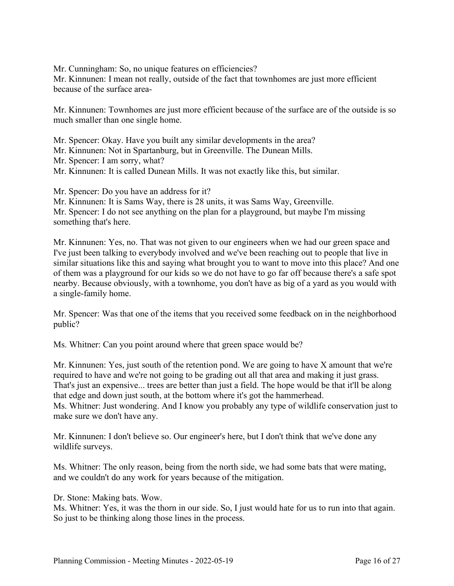Mr. Cunningham: So, no unique features on efficiencies?

Mr. Kinnunen: I mean not really, outside of the fact that townhomes are just more efficient because of the surface area-

Mr. Kinnunen: Townhomes are just more efficient because of the surface are of the outside is so much smaller than one single home.

- Mr. Spencer: Okay. Have you built any similar developments in the area?
- Mr. Kinnunen: Not in Spartanburg, but in Greenville. The Dunean Mills.
- Mr. Spencer: I am sorry, what?
- Mr. Kinnunen: It is called Dunean Mills. It was not exactly like this, but similar.

Mr. Spencer: Do you have an address for it?

Mr. Kinnunen: It is Sams Way, there is 28 units, it was Sams Way, Greenville. Mr. Spencer: I do not see anything on the plan for a playground, but maybe I'm missing something that's here.

Mr. Kinnunen: Yes, no. That was not given to our engineers when we had our green space and I've just been talking to everybody involved and we've been reaching out to people that live in similar situations like this and saying what brought you to want to move into this place? And one of them was a playground for our kids so we do not have to go far off because there's a safe spot nearby. Because obviously, with a townhome, you don't have as big of a yard as you would with a single-family home.

Mr. Spencer: Was that one of the items that you received some feedback on in the neighborhood public?

Ms. Whitner: Can you point around where that green space would be?

Mr. Kinnunen: Yes, just south of the retention pond. We are going to have X amount that we're required to have and we're not going to be grading out all that area and making it just grass. That's just an expensive... trees are better than just a field. The hope would be that it'll be along that edge and down just south, at the bottom where it's got the hammerhead. Ms. Whitner: Just wondering. And I know you probably any type of wildlife conservation just to make sure we don't have any.

Mr. Kinnunen: I don't believe so. Our engineer's here, but I don't think that we've done any wildlife surveys.

Ms. Whitner: The only reason, being from the north side, we had some bats that were mating, and we couldn't do any work for years because of the mitigation.

Dr. Stone: Making bats. Wow.

Ms. Whitner: Yes, it was the thorn in our side. So, I just would hate for us to run into that again. So just to be thinking along those lines in the process.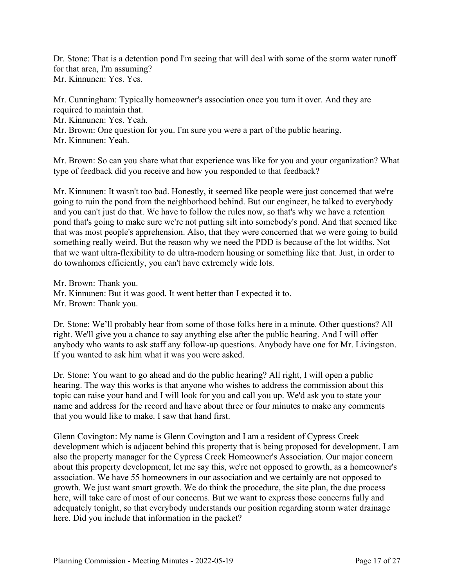Dr. Stone: That is a detention pond I'm seeing that will deal with some of the storm water runoff for that area, I'm assuming? Mr. Kinnunen: Yes. Yes.

Mr. Cunningham: Typically homeowner's association once you turn it over. And they are required to maintain that. Mr. Kinnunen: Yes. Yeah. Mr. Brown: One question for you. I'm sure you were a part of the public hearing. Mr. Kinnunen: Yeah.

Mr. Brown: So can you share what that experience was like for you and your organization? What type of feedback did you receive and how you responded to that feedback?

Mr. Kinnunen: It wasn't too bad. Honestly, it seemed like people were just concerned that we're going to ruin the pond from the neighborhood behind. But our engineer, he talked to everybody and you can't just do that. We have to follow the rules now, so that's why we have a retention pond that's going to make sure we're not putting silt into somebody's pond. And that seemed like that was most people's apprehension. Also, that they were concerned that we were going to build something really weird. But the reason why we need the PDD is because of the lot widths. Not that we want ultra-flexibility to do ultra-modern housing or something like that. Just, in order to do townhomes efficiently, you can't have extremely wide lots.

Mr. Brown: Thank you. Mr. Kinnunen: But it was good. It went better than I expected it to. Mr. Brown: Thank you.

Dr. Stone: We'll probably hear from some of those folks here in a minute. Other questions? All right. We'll give you a chance to say anything else after the public hearing. And I will offer anybody who wants to ask staff any follow-up questions. Anybody have one for Mr. Livingston. If you wanted to ask him what it was you were asked.

Dr. Stone: You want to go ahead and do the public hearing? All right, I will open a public hearing. The way this works is that anyone who wishes to address the commission about this topic can raise your hand and I will look for you and call you up. We'd ask you to state your name and address for the record and have about three or four minutes to make any comments that you would like to make. I saw that hand first.

Glenn Covington: My name is Glenn Covington and I am a resident of Cypress Creek development which is adjacent behind this property that is being proposed for development. I am also the property manager for the Cypress Creek Homeowner's Association. Our major concern about this property development, let me say this, we're not opposed to growth, as a homeowner's association. We have 55 homeowners in our association and we certainly are not opposed to growth. We just want smart growth. We do think the procedure, the site plan, the due process here, will take care of most of our concerns. But we want to express those concerns fully and adequately tonight, so that everybody understands our position regarding storm water drainage here. Did you include that information in the packet?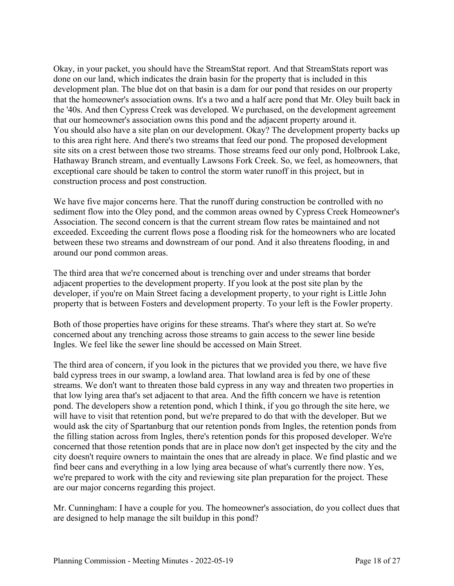Okay, in your packet, you should have the StreamStat report. And that StreamStats report was done on our land, which indicates the drain basin for the property that is included in this development plan. The blue dot on that basin is a dam for our pond that resides on our property that the homeowner's association owns. It's a two and a half acre pond that Mr. Oley built back in the '40s. And then Cypress Creek was developed. We purchased, on the development agreement that our homeowner's association owns this pond and the adjacent property around it. You should also have a site plan on our development. Okay? The development property backs up to this area right here. And there's two streams that feed our pond. The proposed development site sits on a crest between those two streams. Those streams feed our only pond, Holbrook Lake, Hathaway Branch stream, and eventually Lawsons Fork Creek. So, we feel, as homeowners, that exceptional care should be taken to control the storm water runoff in this project, but in construction process and post construction.

We have five major concerns here. That the runoff during construction be controlled with no sediment flow into the Oley pond, and the common areas owned by Cypress Creek Homeowner's Association. The second concern is that the current stream flow rates be maintained and not exceeded. Exceeding the current flows pose a flooding risk for the homeowners who are located between these two streams and downstream of our pond. And it also threatens flooding, in and around our pond common areas.

The third area that we're concerned about is trenching over and under streams that border adjacent properties to the development property. If you look at the post site plan by the developer, if you're on Main Street facing a development property, to your right is Little John property that is between Fosters and development property. To your left is the Fowler property.

Both of those properties have origins for these streams. That's where they start at. So we're concerned about any trenching across those streams to gain access to the sewer line beside Ingles. We feel like the sewer line should be accessed on Main Street.

The third area of concern, if you look in the pictures that we provided you there, we have five bald cypress trees in our swamp, a lowland area. That lowland area is fed by one of these streams. We don't want to threaten those bald cypress in any way and threaten two properties in that low lying area that's set adjacent to that area. And the fifth concern we have is retention pond. The developers show a retention pond, which I think, if you go through the site here, we will have to visit that retention pond, but we're prepared to do that with the developer. But we would ask the city of Spartanburg that our retention ponds from Ingles, the retention ponds from the filling station across from Ingles, there's retention ponds for this proposed developer. We're concerned that those retention ponds that are in place now don't get inspected by the city and the city doesn't require owners to maintain the ones that are already in place. We find plastic and we find beer cans and everything in a low lying area because of what's currently there now. Yes, we're prepared to work with the city and reviewing site plan preparation for the project. These are our major concerns regarding this project.

Mr. Cunningham: I have a couple for you. The homeowner's association, do you collect dues that are designed to help manage the silt buildup in this pond?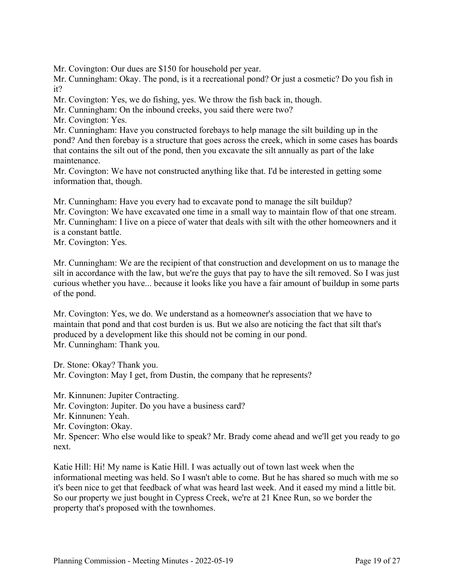Mr. Covington: Our dues are \$150 for household per year.

Mr. Cunningham: Okay. The pond, is it a recreational pond? Or just a cosmetic? Do you fish in it?

Mr. Covington: Yes, we do fishing, yes. We throw the fish back in, though.

Mr. Cunningham: On the inbound creeks, you said there were two?

Mr. Covington: Yes.

Mr. Cunningham: Have you constructed forebays to help manage the silt building up in the pond? And then forebay is a structure that goes across the creek, which in some cases has boards that contains the silt out of the pond, then you excavate the silt annually as part of the lake maintenance.

Mr. Covington: We have not constructed anything like that. I'd be interested in getting some information that, though.

Mr. Cunningham: Have you every had to excavate pond to manage the silt buildup?

Mr. Covington: We have excavated one time in a small way to maintain flow of that one stream. Mr. Cunningham: I live on a piece of water that deals with silt with the other homeowners and it is a constant battle.

Mr. Covington: Yes.

Mr. Cunningham: We are the recipient of that construction and development on us to manage the silt in accordance with the law, but we're the guys that pay to have the silt removed. So I was just curious whether you have... because it looks like you have a fair amount of buildup in some parts of the pond.

Mr. Covington: Yes, we do. We understand as a homeowner's association that we have to maintain that pond and that cost burden is us. But we also are noticing the fact that silt that's produced by a development like this should not be coming in our pond. Mr. Cunningham: Thank you.

Dr. Stone: Okay? Thank you. Mr. Covington: May I get, from Dustin, the company that he represents?

Mr. Kinnunen: Jupiter Contracting.

Mr. Covington: Jupiter. Do you have a business card?

Mr. Kinnunen: Yeah.

Mr. Covington: Okay.

Mr. Spencer: Who else would like to speak? Mr. Brady come ahead and we'll get you ready to go next.

Katie Hill: Hi! My name is Katie Hill. I was actually out of town last week when the informational meeting was held. So I wasn't able to come. But he has shared so much with me so it's been nice to get that feedback of what was heard last week. And it eased my mind a little bit. So our property we just bought in Cypress Creek, we're at 21 Knee Run, so we border the property that's proposed with the townhomes.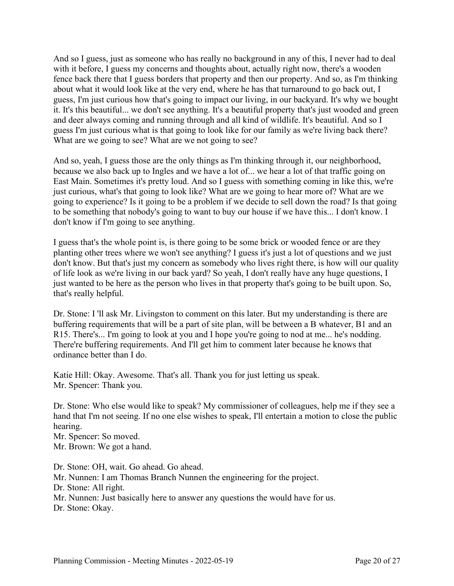And so I guess, just as someone who has really no background in any of this, I never had to deal with it before, I guess my concerns and thoughts about, actually right now, there's a wooden fence back there that I guess borders that property and then our property. And so, as I'm thinking about what it would look like at the very end, where he has that turnaround to go back out, I guess, I'm just curious how that's going to impact our living, in our backyard. It's why we bought it. It's this beautiful... we don't see anything. It's a beautiful property that's just wooded and green and deer always coming and running through and all kind of wildlife. It's beautiful. And so I guess I'm just curious what is that going to look like for our family as we're living back there? What are we going to see? What are we not going to see?

And so, yeah, I guess those are the only things as I'm thinking through it, our neighborhood, because we also back up to Ingles and we have a lot of... we hear a lot of that traffic going on East Main. Sometimes it's pretty loud. And so I guess with something coming in like this, we're just curious, what's that going to look like? What are we going to hear more of? What are we going to experience? Is it going to be a problem if we decide to sell down the road? Is that going to be something that nobody's going to want to buy our house if we have this... I don't know. I don't know if I'm going to see anything.

I guess that's the whole point is, is there going to be some brick or wooded fence or are they planting other trees where we won't see anything? I guess it's just a lot of questions and we just don't know. But that's just my concern as somebody who lives right there, is how will our quality of life look as we're living in our back yard? So yeah, I don't really have any huge questions, I just wanted to be here as the person who lives in that property that's going to be built upon. So, that's really helpful.

Dr. Stone: I 'll ask Mr. Livingston to comment on this later. But my understanding is there are buffering requirements that will be a part of site plan, will be between a B whatever, B1 and an R15. There's... I'm going to look at you and I hope you're going to nod at me... he's nodding. There're buffering requirements. And I'll get him to comment later because he knows that ordinance better than I do.

Katie Hill: Okay. Awesome. That's all. Thank you for just letting us speak. Mr. Spencer: Thank you.

Dr. Stone: Who else would like to speak? My commissioner of colleagues, help me if they see a hand that I'm not seeing. If no one else wishes to speak, I'll entertain a motion to close the public hearing.

Mr. Spencer: So moved. Mr. Brown: We got a hand.

Dr. Stone: OH, wait. Go ahead. Go ahead. Mr. Nunnen: I am Thomas Branch Nunnen the engineering for the project. Dr. Stone: All right. Mr. Nunnen: Just basically here to answer any questions the would have for us. Dr. Stone: Okay.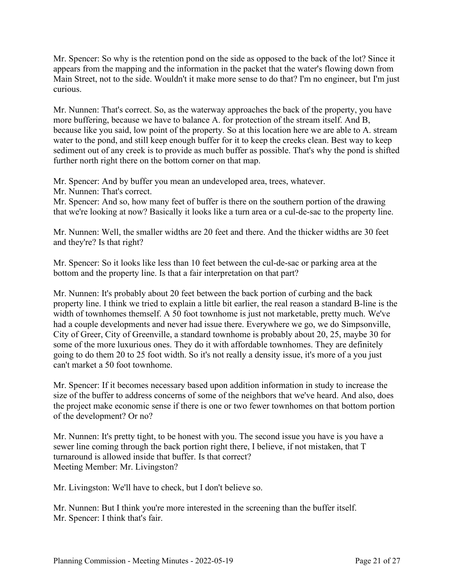Mr. Spencer: So why is the retention pond on the side as opposed to the back of the lot? Since it appears from the mapping and the information in the packet that the water's flowing down from Main Street, not to the side. Wouldn't it make more sense to do that? I'm no engineer, but I'm just curious.

Mr. Nunnen: That's correct. So, as the waterway approaches the back of the property, you have more buffering, because we have to balance A. for protection of the stream itself. And B, because like you said, low point of the property. So at this location here we are able to A. stream water to the pond, and still keep enough buffer for it to keep the creeks clean. Best way to keep sediment out of any creek is to provide as much buffer as possible. That's why the pond is shifted further north right there on the bottom corner on that map.

Mr. Spencer: And by buffer you mean an undeveloped area, trees, whatever.

Mr. Nunnen: That's correct.

Mr. Spencer: And so, how many feet of buffer is there on the southern portion of the drawing that we're looking at now? Basically it looks like a turn area or a cul-de-sac to the property line.

Mr. Nunnen: Well, the smaller widths are 20 feet and there. And the thicker widths are 30 feet and they're? Is that right?

Mr. Spencer: So it looks like less than 10 feet between the cul-de-sac or parking area at the bottom and the property line. Is that a fair interpretation on that part?

Mr. Nunnen: It's probably about 20 feet between the back portion of curbing and the back property line. I think we tried to explain a little bit earlier, the real reason a standard B-line is the width of townhomes themself. A 50 foot townhome is just not marketable, pretty much. We've had a couple developments and never had issue there. Everywhere we go, we do Simpsonville, City of Greer, City of Greenville, a standard townhome is probably about 20, 25, maybe 30 for some of the more luxurious ones. They do it with affordable townhomes. They are definitely going to do them 20 to 25 foot width. So it's not really a density issue, it's more of a you just can't market a 50 foot townhome.

Mr. Spencer: If it becomes necessary based upon addition information in study to increase the size of the buffer to address concerns of some of the neighbors that we've heard. And also, does the project make economic sense if there is one or two fewer townhomes on that bottom portion of the development? Or no?

Mr. Nunnen: It's pretty tight, to be honest with you. The second issue you have is you have a sewer line coming through the back portion right there, I believe, if not mistaken, that T turnaround is allowed inside that buffer. Is that correct? Meeting Member: Mr. Livingston?

Mr. Livingston: We'll have to check, but I don't believe so.

Mr. Nunnen: But I think you're more interested in the screening than the buffer itself. Mr. Spencer: I think that's fair.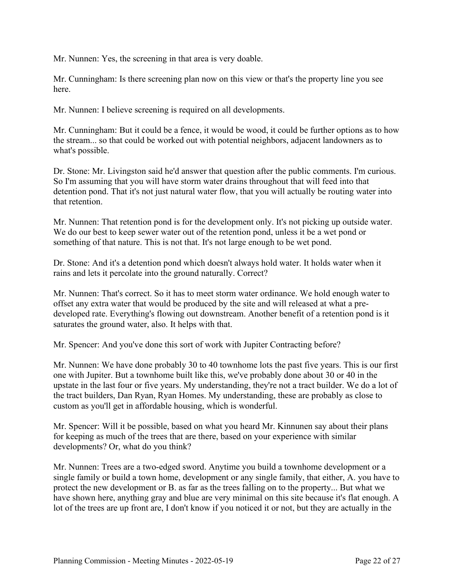Mr. Nunnen: Yes, the screening in that area is very doable.

Mr. Cunningham: Is there screening plan now on this view or that's the property line you see here.

Mr. Nunnen: I believe screening is required on all developments.

Mr. Cunningham: But it could be a fence, it would be wood, it could be further options as to how the stream... so that could be worked out with potential neighbors, adjacent landowners as to what's possible.

Dr. Stone: Mr. Livingston said he'd answer that question after the public comments. I'm curious. So I'm assuming that you will have storm water drains throughout that will feed into that detention pond. That it's not just natural water flow, that you will actually be routing water into that retention.

Mr. Nunnen: That retention pond is for the development only. It's not picking up outside water. We do our best to keep sewer water out of the retention pond, unless it be a wet pond or something of that nature. This is not that. It's not large enough to be wet pond.

Dr. Stone: And it's a detention pond which doesn't always hold water. It holds water when it rains and lets it percolate into the ground naturally. Correct?

Mr. Nunnen: That's correct. So it has to meet storm water ordinance. We hold enough water to offset any extra water that would be produced by the site and will released at what a predeveloped rate. Everything's flowing out downstream. Another benefit of a retention pond is it saturates the ground water, also. It helps with that.

Mr. Spencer: And you've done this sort of work with Jupiter Contracting before?

Mr. Nunnen: We have done probably 30 to 40 townhome lots the past five years. This is our first one with Jupiter. But a townhome built like this, we've probably done about 30 or 40 in the upstate in the last four or five years. My understanding, they're not a tract builder. We do a lot of the tract builders, Dan Ryan, Ryan Homes. My understanding, these are probably as close to custom as you'll get in affordable housing, which is wonderful.

Mr. Spencer: Will it be possible, based on what you heard Mr. Kinnunen say about their plans for keeping as much of the trees that are there, based on your experience with similar developments? Or, what do you think?

Mr. Nunnen: Trees are a two-edged sword. Anytime you build a townhome development or a single family or build a town home, development or any single family, that either, A. you have to protect the new development or B. as far as the trees falling on to the property... But what we have shown here, anything gray and blue are very minimal on this site because it's flat enough. A lot of the trees are up front are, I don't know if you noticed it or not, but they are actually in the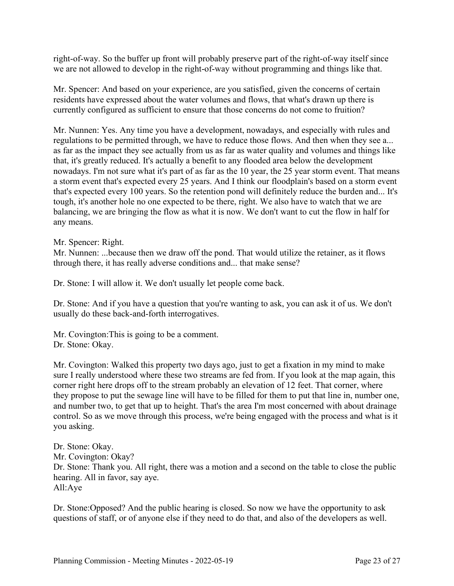right-of-way. So the buffer up front will probably preserve part of the right-of-way itself since we are not allowed to develop in the right-of-way without programming and things like that.

Mr. Spencer: And based on your experience, are you satisfied, given the concerns of certain residents have expressed about the water volumes and flows, that what's drawn up there is currently configured as sufficient to ensure that those concerns do not come to fruition?

Mr. Nunnen: Yes. Any time you have a development, nowadays, and especially with rules and regulations to be permitted through, we have to reduce those flows. And then when they see a... as far as the impact they see actually from us as far as water quality and volumes and things like that, it's greatly reduced. It's actually a benefit to any flooded area below the development nowadays. I'm not sure what it's part of as far as the 10 year, the 25 year storm event. That means a storm event that's expected every 25 years. And I think our floodplain's based on a storm event that's expected every 100 years. So the retention pond will definitely reduce the burden and... It's tough, it's another hole no one expected to be there, right. We also have to watch that we are balancing, we are bringing the flow as what it is now. We don't want to cut the flow in half for any means.

Mr. Spencer: Right.

Mr. Nunnen: ...because then we draw off the pond. That would utilize the retainer, as it flows through there, it has really adverse conditions and... that make sense?

Dr. Stone: I will allow it. We don't usually let people come back.

Dr. Stone: And if you have a question that you're wanting to ask, you can ask it of us. We don't usually do these back-and-forth interrogatives.

Mr. Covington:This is going to be a comment. Dr. Stone: Okay.

Mr. Covington: Walked this property two days ago, just to get a fixation in my mind to make sure I really understood where these two streams are fed from. If you look at the map again, this corner right here drops off to the stream probably an elevation of 12 feet. That corner, where they propose to put the sewage line will have to be filled for them to put that line in, number one, and number two, to get that up to height. That's the area I'm most concerned with about drainage control. So as we move through this process, we're being engaged with the process and what is it you asking.

Dr. Stone: Okay. Mr. Covington: Okay? Dr. Stone: Thank you. All right, there was a motion and a second on the table to close the public hearing. All in favor, say aye. All:Aye

Dr. Stone:Opposed? And the public hearing is closed. So now we have the opportunity to ask questions of staff, or of anyone else if they need to do that, and also of the developers as well.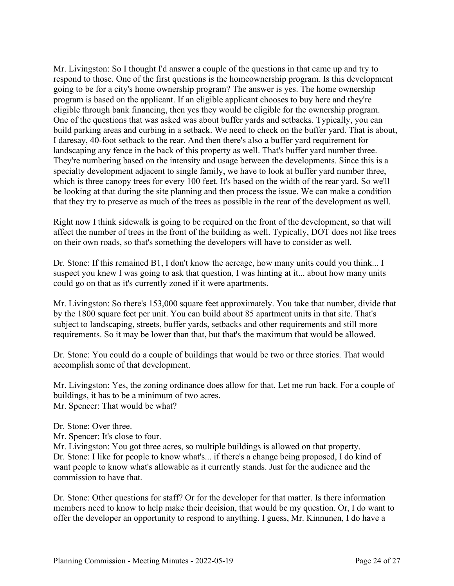Mr. Livingston: So I thought I'd answer a couple of the questions in that came up and try to respond to those. One of the first questions is the homeownership program. Is this development going to be for a city's home ownership program? The answer is yes. The home ownership program is based on the applicant. If an eligible applicant chooses to buy here and they're eligible through bank financing, then yes they would be eligible for the ownership program. One of the questions that was asked was about buffer yards and setbacks. Typically, you can build parking areas and curbing in a setback. We need to check on the buffer yard. That is about, I daresay, 40-foot setback to the rear. And then there's also a buffer yard requirement for landscaping any fence in the back of this property as well. That's buffer yard number three. They're numbering based on the intensity and usage between the developments. Since this is a specialty development adjacent to single family, we have to look at buffer yard number three, which is three canopy trees for every 100 feet. It's based on the width of the rear yard. So we'll be looking at that during the site planning and then process the issue. We can make a condition that they try to preserve as much of the trees as possible in the rear of the development as well.

Right now I think sidewalk is going to be required on the front of the development, so that will affect the number of trees in the front of the building as well. Typically, DOT does not like trees on their own roads, so that's something the developers will have to consider as well.

Dr. Stone: If this remained B1, I don't know the acreage, how many units could you think... I suspect you knew I was going to ask that question, I was hinting at it... about how many units could go on that as it's currently zoned if it were apartments.

Mr. Livingston: So there's 153,000 square feet approximately. You take that number, divide that by the 1800 square feet per unit. You can build about 85 apartment units in that site. That's subject to landscaping, streets, buffer yards, setbacks and other requirements and still more requirements. So it may be lower than that, but that's the maximum that would be allowed.

Dr. Stone: You could do a couple of buildings that would be two or three stories. That would accomplish some of that development.

Mr. Livingston: Yes, the zoning ordinance does allow for that. Let me run back. For a couple of buildings, it has to be a minimum of two acres. Mr. Spencer: That would be what?

Dr. Stone: Over three.

Mr. Spencer: It's close to four.

Mr. Livingston: You got three acres, so multiple buildings is allowed on that property. Dr. Stone: I like for people to know what's... if there's a change being proposed, I do kind of want people to know what's allowable as it currently stands. Just for the audience and the commission to have that.

Dr. Stone: Other questions for staff? Or for the developer for that matter. Is there information members need to know to help make their decision, that would be my question. Or, I do want to offer the developer an opportunity to respond to anything. I guess, Mr. Kinnunen, I do have a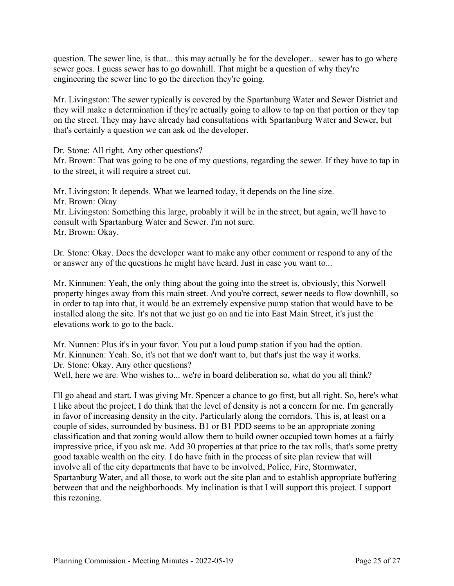question. The sewer line, is that... this may actually be for the developer... sewer has to go where sewer goes. I guess sewer has to go downhill. That might be a question of why they're engineering the sewer line to go the direction they're going.

Mr. Livingston: The sewer typically is covered by the Spartanburg Water and Sewer District and they will make a determination if they're actually going to allow to tap on that portion or they tap on the street. They may have already had consultations with Spartanburg Water and Sewer, but that's certainly a question we can ask od the developer.

Dr. Stone: All right. Any other questions?

Mr. Brown: That was going to be one of my questions, regarding the sewer. If they have to tap in to the street, it will require a street cut.

Mr. Livingston: It depends. What we learned today, it depends on the line size. Mr. Brown: Okay Mr. Livingston: Something this large, probably it will be in the street, but again, we'll have to consult with Spartanburg Water and Sewer. I'm not sure. Mr. Brown: Okay.

Dr. Stone: Okay. Does the developer want to make any other comment or respond to any of the or answer any of the questions he might have heard. Just in case you want to...

Mr. Kinnunen: Yeah, the only thing about the going into the street is, obviously, this Norwell property hinges away from this main street. And you're correct, sewer needs to flow downhill, so in order to tap into that, it would be an extremely expensive pump station that would have to be installed along the site. It's not that we just go on and tie into East Main Street, it's just the elevations work to go to the back.

Mr. Nunnen: Plus it's in your favor. You put a loud pump station if you had the option. Mr. Kinnunen: Yeah. So, it's not that we don't want to, but that's just the way it works. Dr. Stone: Okay. Any other questions?

Well, here we are. Who wishes to... we're in board deliberation so, what do you all think?

I'll go ahead and start. I was giving Mr. Spencer a chance to go first, but all right. So, here's what I like about the project, I do think that the level of density is not a concern for me. I'm generally in favor of increasing density in the city. Particularly along the corridors. This is, at least on a couple of sides, surrounded by business. B1 or B1 PDD seems to be an appropriate zoning classification and that zoning would allow them to build owner occupied town homes at a fairly impressive price, if you ask me. Add 30 properties at that price to the tax rolls, that's some pretty good taxable wealth on the city. I do have faith in the process of site plan review that will involve all of the city departments that have to be involved, Police, Fire, Stormwater, Spartanburg Water, and all those, to work out the site plan and to establish appropriate buffering between that and the neighborhoods. My inclination is that I will support this project. I support this rezoning.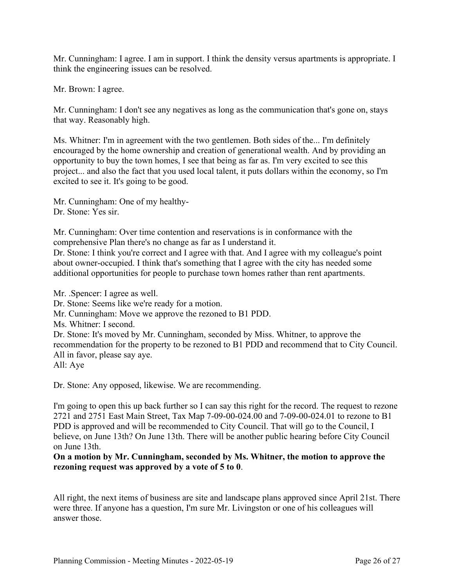Mr. Cunningham: I agree. I am in support. I think the density versus apartments is appropriate. I think the engineering issues can be resolved.

Mr. Brown: I agree.

Mr. Cunningham: I don't see any negatives as long as the communication that's gone on, stays that way. Reasonably high.

Ms. Whitner: I'm in agreement with the two gentlemen. Both sides of the... I'm definitely encouraged by the home ownership and creation of generational wealth. And by providing an opportunity to buy the town homes, I see that being as far as. I'm very excited to see this project... and also the fact that you used local talent, it puts dollars within the economy, so I'm excited to see it. It's going to be good.

Mr. Cunningham: One of my healthy-Dr. Stone: Yes sir.

Mr. Cunningham: Over time contention and reservations is in conformance with the comprehensive Plan there's no change as far as I understand it.

Dr. Stone: I think you're correct and I agree with that. And I agree with my colleague's point about owner-occupied. I think that's something that I agree with the city has needed some additional opportunities for people to purchase town homes rather than rent apartments.

Mr. .Spencer: I agree as well. Dr. Stone: Seems like we're ready for a motion. Mr. Cunningham: Move we approve the rezoned to B1 PDD. Ms. Whitner: I second. Dr. Stone: It's moved by Mr. Cunningham, seconded by Miss. Whitner, to approve the recommendation for the property to be rezoned to B1 PDD and recommend that to City Council. All in favor, please say aye. All: Aye

Dr. Stone: Any opposed, likewise. We are recommending.

I'm going to open this up back further so I can say this right for the record. The request to rezone 2721 and 2751 East Main Street, Tax Map 7-09-00-024.00 and 7-09-00-024.01 to rezone to B1 PDD is approved and will be recommended to City Council. That will go to the Council, I believe, on June 13th? On June 13th. There will be another public hearing before City Council on June 13th.

**On a motion by Mr. Cunningham, seconded by Ms. Whitner, the motion to approve the rezoning request was approved by a vote of 5 to 0**.

All right, the next items of business are site and landscape plans approved since April 21st. There were three. If anyone has a question, I'm sure Mr. Livingston or one of his colleagues will answer those.